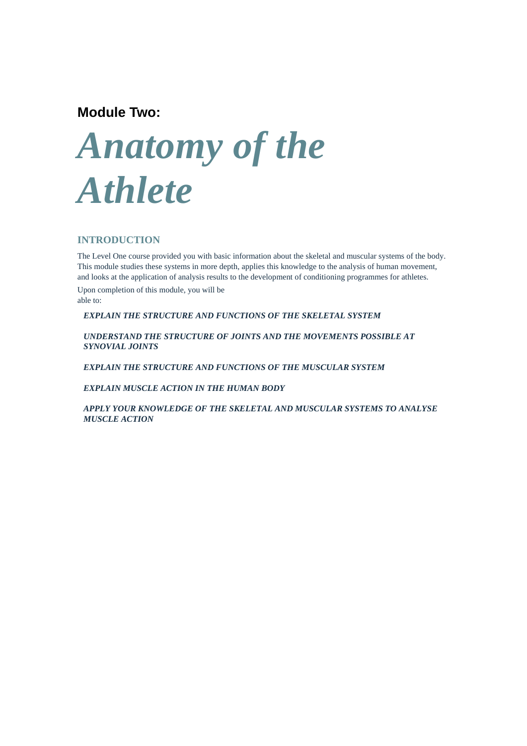# **Module Two:**

# *Anatomy of the Athlete*

## **INTRODUCTION**

The Level One course provided you with basic information about the skeletal and muscular systems of the body. This module studies these systems in more depth, applies this knowledge to the analysis of human movement, and looks at the application of analysis results to the development of conditioning programmes for athletes.

Upon completion of this module, you will be able to:

*EXPLAIN THE STRUCTURE AND FUNCTIONS OF THE SKELETAL SYSTEM* 

*UNDERSTAND THE STRUCTURE OF JOINTS AND THE MOVEMENTS POSSIBLE AT SYNOVIAL JOINTS* 

*EXPLAIN THE STRUCTURE AND FUNCTIONS OF THE MUSCULAR SYSTEM* 

*EXPLAIN MUSCLE ACTION IN THE HUMAN BODY* 

*APPLY YOUR KNOWLEDGE OF THE SKELETAL AND MUSCULAR SYSTEMS TO ANALYSE MUSCLE ACTION*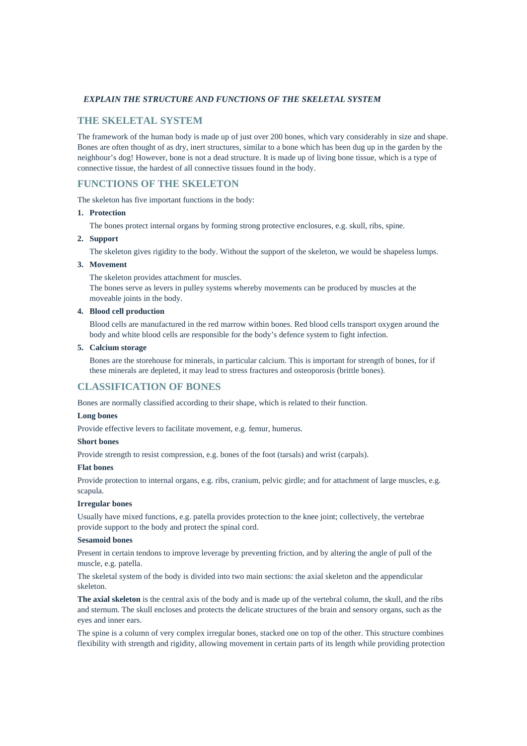## *EXPLAIN THE STRUCTURE AND FUNCTIONS OF THE SKELETAL SYSTEM*

## **THE SKELETAL SYSTEM**

The framework of the human body is made up of just over 200 bones, which vary considerably in size and shape. Bones are often thought of as dry, inert structures, similar to a bone which has been dug up in the garden by the neighbour's dog! However, bone is not a dead structure. It is made up of living bone tissue, which is a type of connective tissue, the hardest of all connective tissues found in the body.

## **FUNCTIONS OF THE SKELETON**

The skeleton has five important functions in the body:

#### **1. Protection**

The bones protect internal organs by forming strong protective enclosures, e.g. skull, ribs, spine.

## **2. Support**

The skeleton gives rigidity to the body. Without the support of the skeleton, we would be shapeless lumps.

## **3. Movement**

The skeleton provides attachment for muscles.

The bones serve as levers in pulley systems whereby movements can be produced by muscles at the moveable joints in the body.

#### **4. Blood cell production**

 Blood cells are manufactured in the red marrow within bones. Red blood cells transport oxygen around the body and white blood cells are responsible for the body's defence system to fight infection.

## **5. Calcium storage**

 Bones are the storehouse for minerals, in particular calcium. This is important for strength of bones, for if these minerals are depleted, it may lead to stress fractures and osteoporosis (brittle bones).

## **CLASSIFICATION OF BONES**

Bones are normally classified according to their shape, which is related to their function.

#### **Long bones**

Provide effective levers to facilitate movement, e.g. femur, humerus.

#### **Short bones**

Provide strength to resist compression, e.g. bones of the foot (tarsals) and wrist (carpals).

#### **Flat bones**

Provide protection to internal organs, e.g. ribs, cranium, pelvic girdle; and for attachment of large muscles, e.g. scapula.

#### **Irregular bones**

Usually have mixed functions, e.g. patella provides protection to the knee joint; collectively, the vertebrae provide support to the body and protect the spinal cord.

## **Sesamoid bones**

Present in certain tendons to improve leverage by preventing friction, and by altering the angle of pull of the muscle, e.g. patella.

The skeletal system of the body is divided into two main sections: the axial skeleton and the appendicular skeleton.

**The axial skeleton** is the central axis of the body and is made up of the vertebral column, the skull, and the ribs and sternum. The skull encloses and protects the delicate structures of the brain and sensory organs, such as the eyes and inner ears.

The spine is a column of very complex irregular bones, stacked one on top of the other. This structure combines flexibility with strength and rigidity, allowing movement in certain parts of its length while providing protection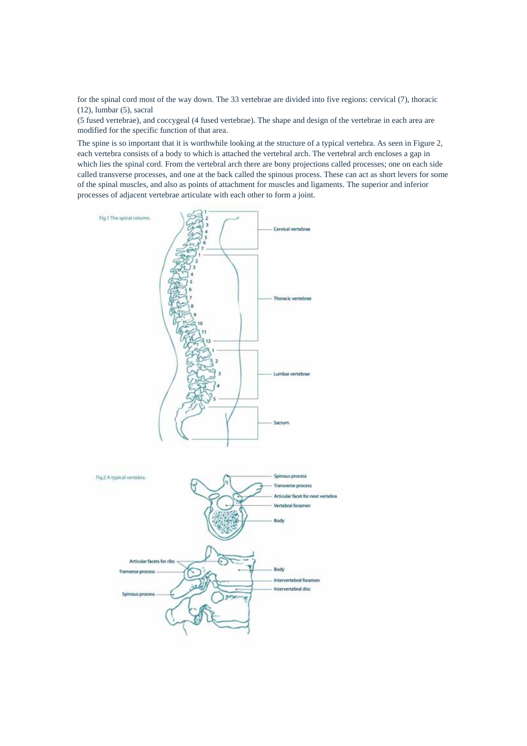for the spinal cord most of the way down. The 33 vertebrae are divided into five regions: cervical (7), thoracic (12), lumbar (5), sacral

(5 fused vertebrae), and coccygeal (4 fused vertebrae). The shape and design of the vertebrae in each area are modified for the specific function of that area.

The spine is so important that it is worthwhile looking at the structure of a typical vertebra. As seen in Figure 2, each vertebra consists of a body to which is attached the vertebral arch. The vertebral arch encloses a gap in which lies the spinal cord. From the vertebral arch there are bony projections called processes; one on each side called transverse processes, and one at the back called the spinous process. These can act as short levers for some of the spinal muscles, and also as points of attachment for muscles and ligaments. The superior and inferior processes of adjacent vertebrae articulate with each other to form a joint.

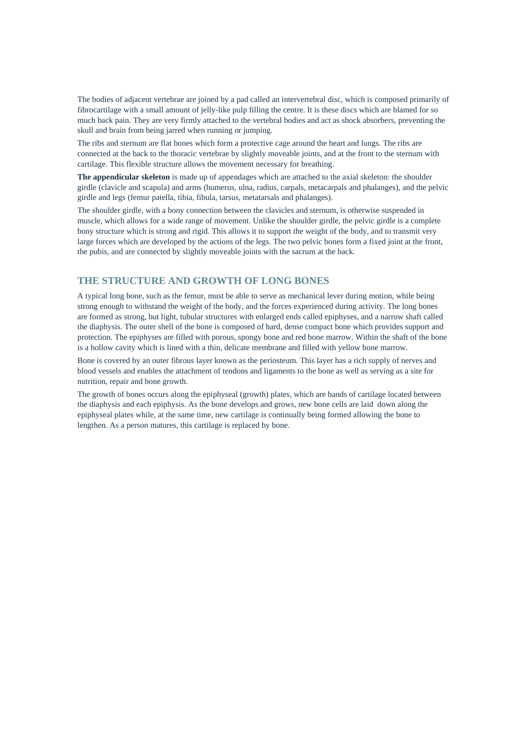The bodies of adjacent vertebrae are joined by a pad called an intervertebral disc, which is composed primarily of fibrocartilage with a small amount of jelly-like pulp filling the centre. It is these discs which are blamed for so much back pain. They are very firmly attached to the vertebral bodies and act as shock absorbers, preventing the skull and brain from being jarred when running or jumping.

The ribs and sternum are flat bones which form a protective cage around the heart and lungs. The ribs are connected at the back to the thoracic vertebrae by slightly moveable joints, and at the front to the sternum with cartilage. This flexible structure allows the movement necessary for breathing.

**The appendicular skeleton** is made up of appendages which are attached to the axial skeleton: the shoulder girdle (clavicle and scapula) and arms (humerus, ulna, radius, carpals, metacarpals and phalanges), and the pelvic girdle and legs (femur patella, tibia, fibula, tarsus, metatarsals and phalanges).

The shoulder girdle, with a bony connection between the clavicles and sternum, is otherwise suspended in muscle, which allows for a wide range of movement. Unlike the shoulder girdle, the pelvic girdle is a complete bony structure which is strong and rigid. This allows it to support the weight of the body, and to transmit very large forces which are developed by the actions of the legs. The two pelvic bones form a fixed joint at the front, the pubis, and are connected by slightly moveable joints with the sacrum at the back.

## **THE STRUCTURE AND GROWTH OF LONG BONES**

A typical long bone, such as the femur, must be able to serve as mechanical lever during motion, while being strong enough to withstand the weight of the body, and the forces experienced during activity. The long bones are formed as strong, but light, tubular structures with enlarged ends called epiphyses, and a narrow shaft called the diaphysis. The outer shell of the bone is composed of hard, dense compact bone which provides support and protection. The epiphyses are filled with porous, spongy bone and red bone marrow. Within the shaft of the bone is a hollow cavity which is lined with a thin, delicate membrane and filled with yellow bone marrow.

Bone is covered by an outer fibrous layer known as the periosteum. This layer has a rich supply of nerves and blood vessels and enables the attachment of tendons and ligaments to the bone as well as serving as a site for nutrition, repair and bone growth.

The growth of bones occurs along the epiphyseal (growth) plates, which are bands of cartilage located between the diaphysis and each epiphysis. As the bone develops and grows, new bone cells are laid down along the epiphyseal plates while, at the same time, new cartilage is continually being formed allowing the bone to lengthen. As a person matures, this cartilage is replaced by bone.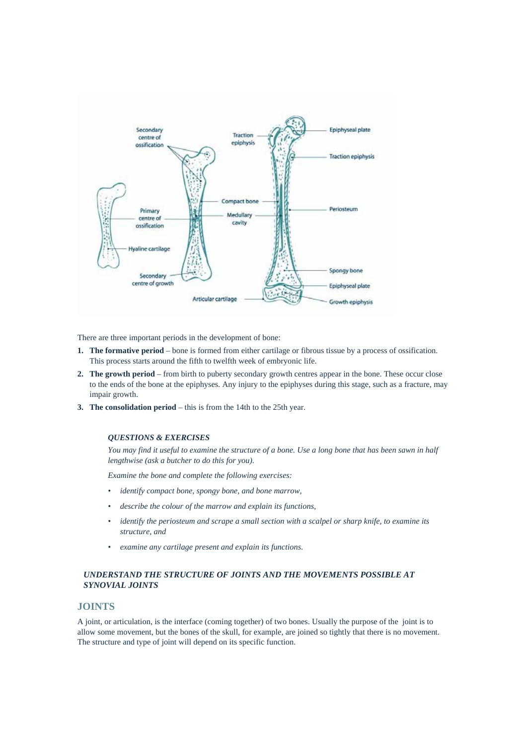

There are three important periods in the development of bone:

- **1. The formative period** bone is formed from either cartilage or fibrous tissue by a process of ossification. This process starts around the fifth to twelfth week of embryonic life.
- **2. The growth period** from birth to puberty secondary growth centres appear in the bone. These occur close to the ends of the bone at the epiphyses. Any injury to the epiphyses during this stage, such as a fracture, may impair growth.
- **3. The consolidation period** this is from the 14th to the 25th year.

#### *QUESTIONS & EXERCISES*

*You may find it useful to examine the structure of a bone. Use a long bone that has been sawn in half lengthwise (ask a butcher to do this for you).* 

*Examine the bone and complete the following exercises:* 

- *identify compact bone, spongy bone, and bone marrow,*
- *describe the colour of the marrow and explain its functions,*
- *identify the periosteum and scrape a small section with a scalpel or sharp knife, to examine its structure, and*
- *examine any cartilage present and explain its functions.*

#### *UNDERSTAND THE STRUCTURE OF JOINTS AND THE MOVEMENTS POSSIBLE AT SYNOVIAL JOINTS*

## **JOINTS**

A joint, or articulation, is the interface (coming together) of two bones. Usually the purpose of the joint is to allow some movement, but the bones of the skull, for example, are joined so tightly that there is no movement. The structure and type of joint will depend on its specific function.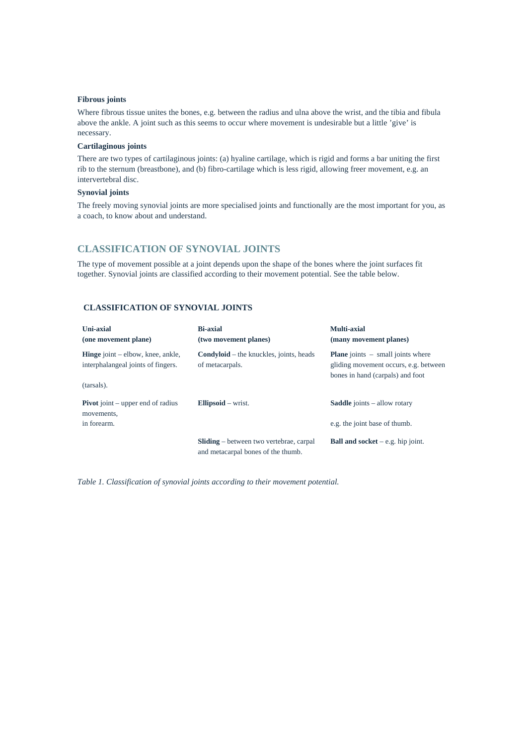#### **Fibrous joints**

Where fibrous tissue unites the bones, e.g. between the radius and ulna above the wrist, and the tibia and fibula above the ankle. A joint such as this seems to occur where movement is undesirable but a little 'give' is necessary.

#### **Cartilaginous joints**

There are two types of cartilaginous joints: (a) hyaline cartilage, which is rigid and forms a bar uniting the first rib to the sternum (breastbone), and (b) fibro-cartilage which is less rigid, allowing freer movement, e.g. an intervertebral disc.

## **Synovial joints**

The freely moving synovial joints are more specialised joints and functionally are the most important for you, as a coach, to know about and understand.

## **CLASSIFICATION OF SYNOVIAL JOINTS**

The type of movement possible at a joint depends upon the shape of the bones where the joint surfaces fit together. Synovial joints are classified according to their movement potential. See the table below.

## **CLASSIFICATION OF SYNOVIAL JOINTS**

| Uni-axial<br>(one movement plane)                                                              | <b>Bi-axial</b><br>(two movement planes)                                             | Multi-axial<br>(many movement planes)                                                                                   |
|------------------------------------------------------------------------------------------------|--------------------------------------------------------------------------------------|-------------------------------------------------------------------------------------------------------------------------|
| <b>Hinge</b> joint $-$ elbow, knee, ankle,<br>interphalangeal joints of fingers.<br>(tarsals). | <b>Condyloid</b> – the knuckles, joints, heads<br>of metacarpals.                    | <b>Plane</b> joints $-$ small joints where<br>gliding movement occurs, e.g. between<br>bones in hand (carpals) and foot |
| <b>Pivot</b> joint – upper end of radius<br>movements,<br>in forearm.                          | Ellipsoid $-$ wrist.                                                                 | <b>Saddle</b> joints – allow rotary<br>e.g. the joint base of thumb.                                                    |
|                                                                                                | <b>Sliding</b> – between two vertebrae, carpal<br>and metacarpal bones of the thumb. | <b>Ball and socket</b> $-e.g.$ hip joint.                                                                               |

*Table 1. Classification of synovial joints according to their movement potential.*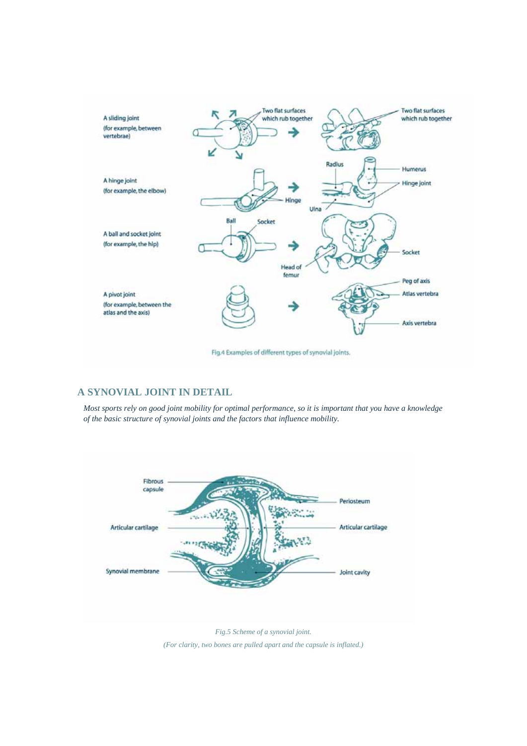

## **A SYNOVIAL JOINT IN DETAIL**

*Most sports rely on good joint mobility for optimal performance, so it is important that you have a knowledge of the basic structure of synovial joints and the factors that influence mobility.* 



*Fig.5 Scheme of a synovial joint. (For clarity, two bones are pulled apart and the capsule is inflated.)*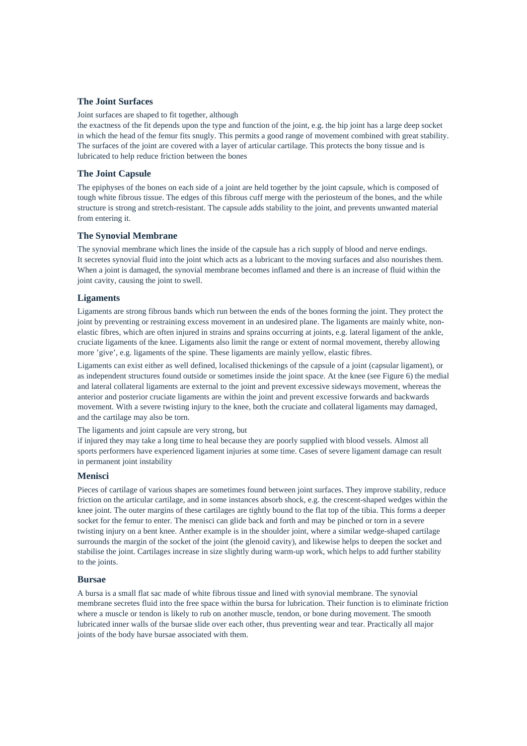## **The Joint Surfaces**

Joint surfaces are shaped to fit together, although

the exactness of the fit depends upon the type and function of the joint, e.g. the hip joint has a large deep socket in which the head of the femur fits snugly. This permits a good range of movement combined with great stability. The surfaces of the joint are covered with a layer of articular cartilage. This protects the bony tissue and is lubricated to help reduce friction between the bones

#### **The Joint Capsule**

The epiphyses of the bones on each side of a joint are held together by the joint capsule, which is composed of tough white fibrous tissue. The edges of this fibrous cuff merge with the periosteum of the bones, and the while structure is strong and stretch-resistant. The capsule adds stability to the joint, and prevents unwanted material from entering it.

#### **The Synovial Membrane**

The synovial membrane which lines the inside of the capsule has a rich supply of blood and nerve endings. It secretes synovial fluid into the joint which acts as a lubricant to the moving surfaces and also nourishes them. When a joint is damaged, the synovial membrane becomes inflamed and there is an increase of fluid within the joint cavity, causing the joint to swell.

#### **Ligaments**

Ligaments are strong fibrous bands which run between the ends of the bones forming the joint. They protect the joint by preventing or restraining excess movement in an undesired plane. The ligaments are mainly white, nonelastic fibres, which are often injured in strains and sprains occurring at joints, e.g. lateral ligament of the ankle, cruciate ligaments of the knee. Ligaments also limit the range or extent of normal movement, thereby allowing more 'give', e.g. ligaments of the spine. These ligaments are mainly yellow, elastic fibres.

Ligaments can exist either as well defined, localised thickenings of the capsule of a joint (capsular ligament), or as independent structures found outside or sometimes inside the joint space. At the knee (see Figure 6) the medial and lateral collateral ligaments are external to the joint and prevent excessive sideways movement, whereas the anterior and posterior cruciate ligaments are within the joint and prevent excessive forwards and backwards movement. With a severe twisting injury to the knee, both the cruciate and collateral ligaments may damaged, and the cartilage may also be torn.

The ligaments and joint capsule are very strong, but

if injured they may take a long time to heal because they are poorly supplied with blood vessels. Almost all sports performers have experienced ligament injuries at some time. Cases of severe ligament damage can result in permanent joint instability

#### **Menisci**

Pieces of cartilage of various shapes are sometimes found between joint surfaces. They improve stability, reduce friction on the articular cartilage, and in some instances absorb shock, e.g. the crescent-shaped wedges within the knee joint. The outer margins of these cartilages are tightly bound to the flat top of the tibia. This forms a deeper socket for the femur to enter. The menisci can glide back and forth and may be pinched or torn in a severe twisting injury on a bent knee. Anther example is in the shoulder joint, where a similar wedge-shaped cartilage surrounds the margin of the socket of the joint (the glenoid cavity), and likewise helps to deepen the socket and stabilise the joint. Cartilages increase in size slightly during warm-up work, which helps to add further stability to the joints.

#### **Bursae**

A bursa is a small flat sac made of white fibrous tissue and lined with synovial membrane. The synovial membrane secretes fluid into the free space within the bursa for lubrication. Their function is to eliminate friction where a muscle or tendon is likely to rub on another muscle, tendon, or bone during movement. The smooth lubricated inner walls of the bursae slide over each other, thus preventing wear and tear. Practically all major joints of the body have bursae associated with them.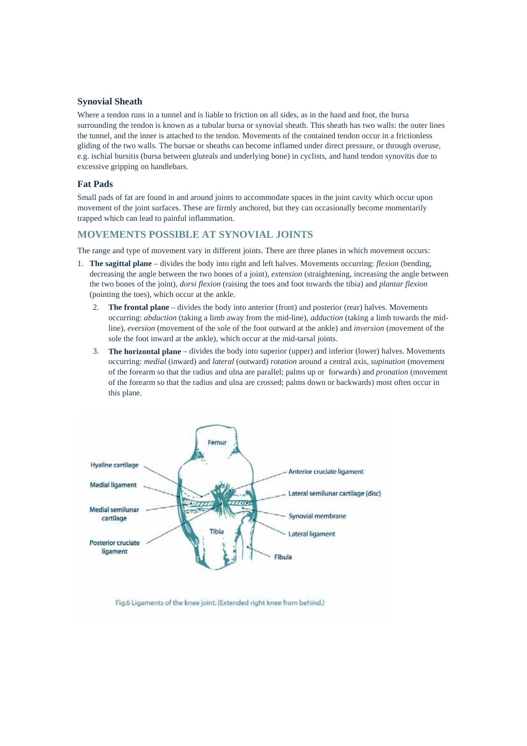## **Synovial Sheath**

Where a tendon runs in a tunnel and is liable to friction on all sides, as in the hand and foot, the bursa surrounding the tendon is known as a tubular bursa or synovial sheath. This sheath has two walls: the outer lines the tunnel, and the inner is attached to the tendon. Movements of the contained tendon occur in a frictionless gliding of the two walls. The bursae or sheaths can become inflamed under direct pressure, or through overuse, e.g. ischial bursitis (bursa between gluteals and underlying bone) in cyclists, and hand tendon synovitis due to excessive gripping on handlebars.

## **Fat Pads**

Small pads of fat are found in and around joints to accommodate spaces in the joint cavity which occur upon movement of the joint surfaces. These are firmly anchored, but they can occasionally become momentarily trapped which can lead to painful inflammation.

## **MOVEMENTS POSSIBLE AT SYNOVIAL JOINTS**

The range and type of movement vary in different joints. There are three planes in which movement occurs:

- 1. **The sagittal plane** divides the body into right and left halves. Movements occurring: *flexion* (bending, decreasing the angle between the two bones of a joint), *extension* (straightening, increasing the angle between the two bones of the joint), *dorsi flexion* (raising the toes and foot towards the tibia) and *plantar flexion* (pointing the toes), which occur at the ankle.
	- 2. **The frontal plane** divides the body into anterior (front) and posterior (rear) halves. Movements occurring: *abduction* (taking a limb away from the mid-line), *adduction* (taking a limb towards the midline), *eversion* (movement of the sole of the foot outward at the ankle) and *inversion* (movement of the sole the foot inward at the ankle), which occur at the mid-tarsal joints.
	- 3. **The horizontal plane** divides the body into superior (upper) and inferior (lower) halves. Movements occurring: *medial* (inward) and *lateral* (outward) *rotation* around a central axis, *supination* (movement of the forearm so that the radius and ulna are parallel; palms up or forwards) and *pronation* (movement of the forearm so that the radius and ulna are crossed; palms down or backwards) most often occur in this plane.



Fig.6 Ligaments of the knee joint. (Extended right knee from behind.)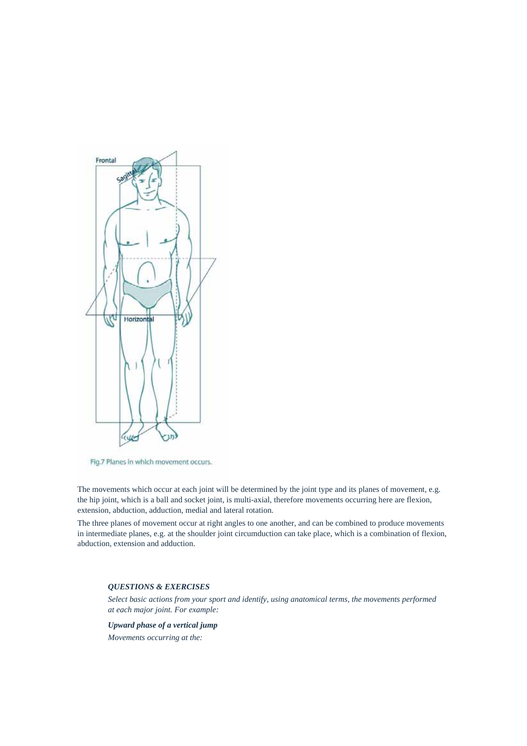

Fig.7 Planes in which movement occurs.

The movements which occur at each joint will be determined by the joint type and its planes of movement, e.g. the hip joint, which is a ball and socket joint, is multi-axial, therefore movements occurring here are flexion, extension, abduction, adduction, medial and lateral rotation.

The three planes of movement occur at right angles to one another, and can be combined to produce movements in intermediate planes, e.g. at the shoulder joint circumduction can take place, which is a combination of flexion, abduction, extension and adduction.

## *QUESTIONS & EXERCISES*

*Select basic actions from your sport and identify, using anatomical terms, the movements performed at each major joint. For example:* 

*Upward phase of a vertical jump Movements occurring at the:*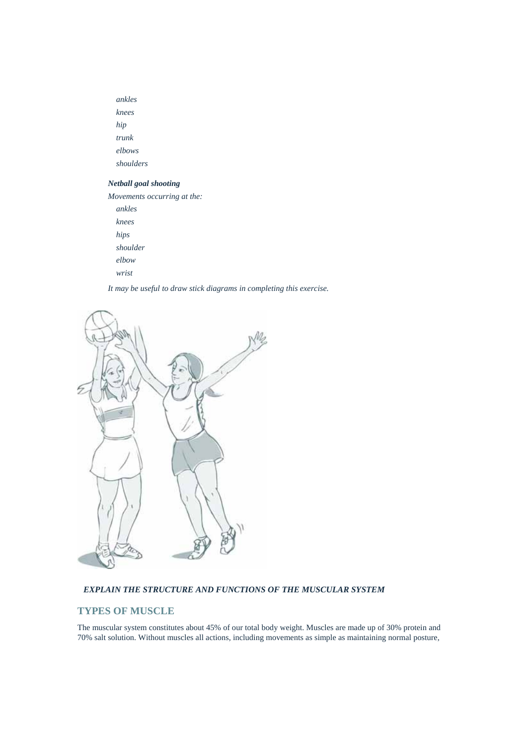*ankles knees hip trunk elbows shoulders* 

## *Netball goal shooting*

*Movements occurring at the: ankles* 

 *knees hips shoulder elbow wrist* 

*It may be useful to draw stick diagrams in completing this exercise.* 



## *EXPLAIN THE STRUCTURE AND FUNCTIONS OF THE MUSCULAR SYSTEM*

## **TYPES OF MUSCLE**

The muscular system constitutes about 45% of our total body weight. Muscles are made up of 30% protein and 70% salt solution. Without muscles all actions, including movements as simple as maintaining normal posture,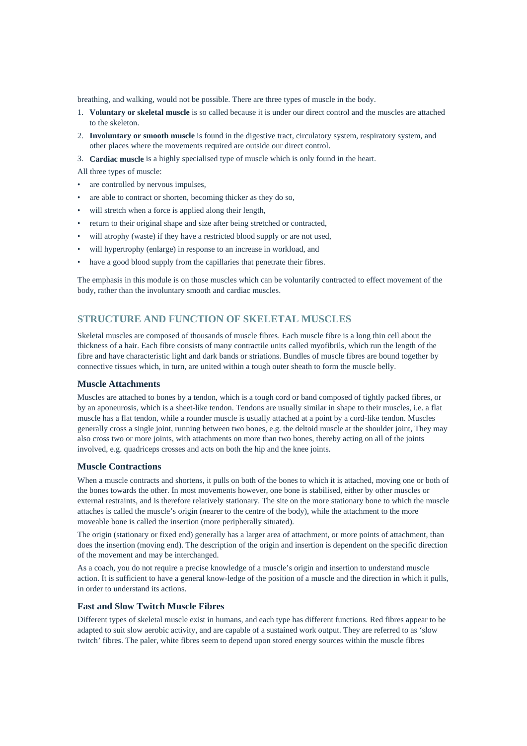breathing, and walking, would not be possible. There are three types of muscle in the body.

- 1. **Voluntary or skeletal muscle** is so called because it is under our direct control and the muscles are attached to the skeleton.
- 2. **Involuntary or smooth muscle** is found in the digestive tract, circulatory system, respiratory system, and other places where the movements required are outside our direct control.
- 3. **Cardiac muscle** is a highly specialised type of muscle which is only found in the heart.

All three types of muscle:

- are controlled by nervous impulses,
- are able to contract or shorten, becoming thicker as they do so,
- will stretch when a force is applied along their length,
- return to their original shape and size after being stretched or contracted,
- will atrophy (waste) if they have a restricted blood supply or are not used,
- will hypertrophy (enlarge) in response to an increase in workload, and
- have a good blood supply from the capillaries that penetrate their fibres.

The emphasis in this module is on those muscles which can be voluntarily contracted to effect movement of the body, rather than the involuntary smooth and cardiac muscles.

## **STRUCTURE AND FUNCTION OF SKELETAL MUSCLES**

Skeletal muscles are composed of thousands of muscle fibres. Each muscle fibre is a long thin cell about the thickness of a hair. Each fibre consists of many contractile units called myofibrils, which run the length of the fibre and have characteristic light and dark bands or striations. Bundles of muscle fibres are bound together by connective tissues which, in turn, are united within a tough outer sheath to form the muscle belly.

## **Muscle Attachments**

Muscles are attached to bones by a tendon, which is a tough cord or band composed of tightly packed fibres, or by an aponeurosis, which is a sheet-like tendon. Tendons are usually similar in shape to their muscles, i.e. a flat muscle has a flat tendon, while a rounder muscle is usually attached at a point by a cord-like tendon. Muscles generally cross a single joint, running between two bones, e.g. the deltoid muscle at the shoulder joint, They may also cross two or more joints, with attachments on more than two bones, thereby acting on all of the joints involved, e.g. quadriceps crosses and acts on both the hip and the knee joints.

#### **Muscle Contractions**

When a muscle contracts and shortens, it pulls on both of the bones to which it is attached, moving one or both of the bones towards the other. In most movements however, one bone is stabilised, either by other muscles or external restraints, and is therefore relatively stationary. The site on the more stationary bone to which the muscle attaches is called the muscle's origin (nearer to the centre of the body), while the attachment to the more moveable bone is called the insertion (more peripherally situated).

The origin (stationary or fixed end) generally has a larger area of attachment, or more points of attachment, than does the insertion (moving end). The description of the origin and insertion is dependent on the specific direction of the movement and may be interchanged.

As a coach, you do not require a precise knowledge of a muscle's origin and insertion to understand muscle action. It is sufficient to have a general know-ledge of the position of a muscle and the direction in which it pulls, in order to understand its actions.

## **Fast and Slow Twitch Muscle Fibres**

Different types of skeletal muscle exist in humans, and each type has different functions. Red fibres appear to be adapted to suit slow aerobic activity, and are capable of a sustained work output. They are referred to as 'slow twitch' fibres. The paler, white fibres seem to depend upon stored energy sources within the muscle fibres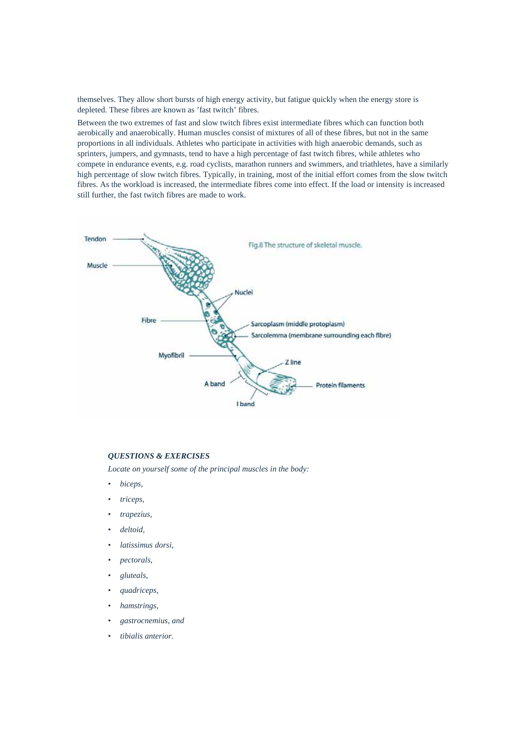themselves. They allow short bursts of high energy activity, but fatigue quickly when the energy store is depleted. These fibres are known as 'fast twitch' fibres.

Between the two extremes of fast and slow twitch fibres exist intermediate fibres which can function both aerobically and anaerobically. Human muscles consist of mixtures of all of these fibres, but not in the same proportions in all individuals. Athletes who participate in activities with high anaerobic demands, such as sprinters, jumpers, and gymnasts, tend to have a high percentage of fast twitch fibres, while athletes who compete in endurance events, e.g. road cyclists, marathon runners and swimmers, and triathletes, have a similarly high percentage of slow twitch fibres. Typically, in training, most of the initial effort comes from the slow twitch fibres. As the workload is increased, the intermediate fibres come into effect. If the load or intensity is increased still further, the fast twitch fibres are made to work.



## *QUESTIONS & EXERCISES*

*Locate on yourself some of the principal muscles in the body:* 

- *biceps,*
- *triceps,*
- *trapezius,*
- *deltoid,*
- *latissimus dorsi,*
- *pectorals,*
- *gluteals,*
- *quadriceps,*
- *hamstrings,*
- *gastrocnemius, and*
- *tibialis anterior.*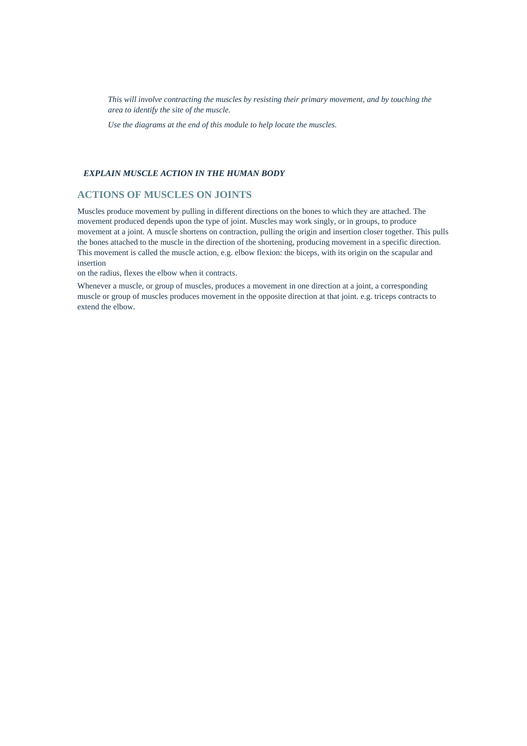*This will involve contracting the muscles by resisting their primary movement, and by touching the area to identify the site of the muscle.* 

*Use the diagrams at the end of this module to help locate the muscles.* 

## *EXPLAIN MUSCLE ACTION IN THE HUMAN BODY*

## **ACTIONS OF MUSCLES ON JOINTS**

Muscles produce movement by pulling in different directions on the bones to which they are attached. The movement produced depends upon the type of joint. Muscles may work singly, or in groups, to produce movement at a joint. A muscle shortens on contraction, pulling the origin and insertion closer together. This pulls the bones attached to the muscle in the direction of the shortening, producing movement in a specific direction. This movement is called the muscle action, e.g. elbow flexion: the biceps, with its origin on the scapular and insertion

on the radius, flexes the elbow when it contracts.

Whenever a muscle, or group of muscles, produces a movement in one direction at a joint, a corresponding muscle or group of muscles produces movement in the opposite direction at that joint. e.g. triceps contracts to extend the elbow.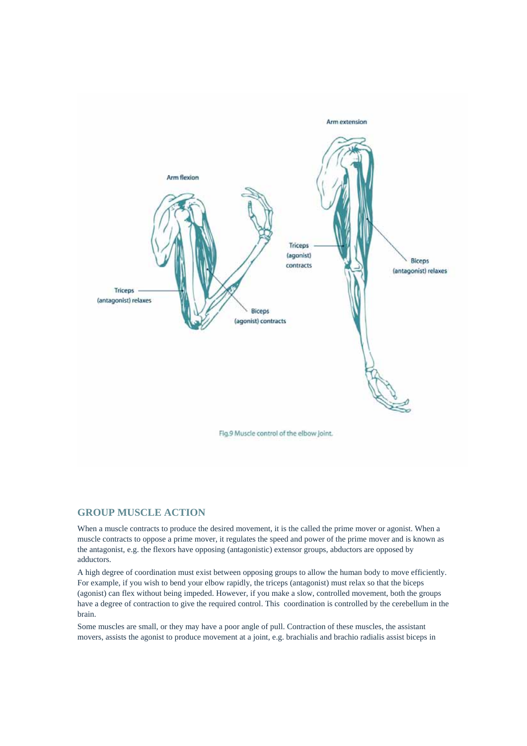

## **GROUP MUSCLE ACTION**

When a muscle contracts to produce the desired movement, it is the called the prime mover or agonist. When a muscle contracts to oppose a prime mover, it regulates the speed and power of the prime mover and is known as the antagonist, e.g. the flexors have opposing (antagonistic) extensor groups, abductors are opposed by adductors.

A high degree of coordination must exist between opposing groups to allow the human body to move efficiently. For example, if you wish to bend your elbow rapidly, the triceps (antagonist) must relax so that the biceps (agonist) can flex without being impeded. However, if you make a slow, controlled movement, both the groups have a degree of contraction to give the required control. This coordination is controlled by the cerebellum in the brain.

Some muscles are small, or they may have a poor angle of pull. Contraction of these muscles, the assistant movers, assists the agonist to produce movement at a joint, e.g. brachialis and brachio radialis assist biceps in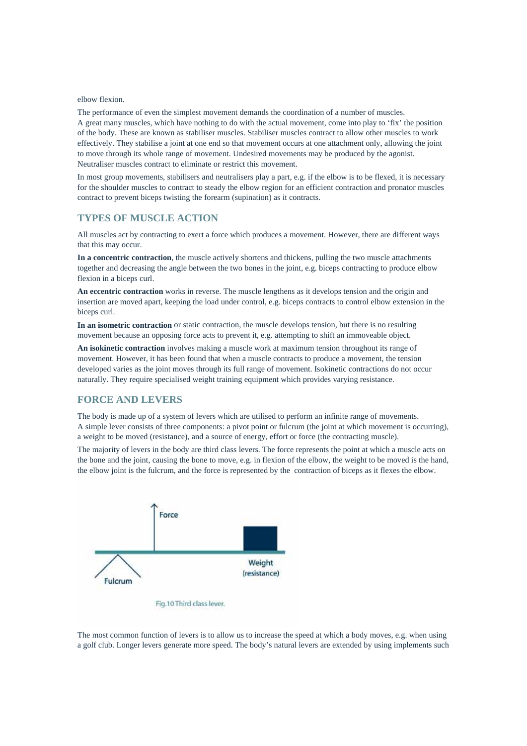elbow flexion.

The performance of even the simplest movement demands the coordination of a number of muscles. A great many muscles, which have nothing to do with the actual movement, come into play to 'fix' the position of the body. These are known as stabiliser muscles. Stabiliser muscles contract to allow other muscles to work effectively. They stabilise a joint at one end so that movement occurs at one attachment only, allowing the joint to move through its whole range of movement. Undesired movements may be produced by the agonist. Neutraliser muscles contract to eliminate or restrict this movement.

In most group movements, stabilisers and neutralisers play a part, e.g. if the elbow is to be flexed, it is necessary for the shoulder muscles to contract to steady the elbow region for an efficient contraction and pronator muscles contract to prevent biceps twisting the forearm (supination) as it contracts.

## **TYPES OF MUSCLE ACTION**

All muscles act by contracting to exert a force which produces a movement. However, there are different ways that this may occur.

**In a concentric contraction**, the muscle actively shortens and thickens, pulling the two muscle attachments together and decreasing the angle between the two bones in the joint, e.g. biceps contracting to produce elbow flexion in a biceps curl.

**An eccentric contraction** works in reverse. The muscle lengthens as it develops tension and the origin and insertion are moved apart, keeping the load under control, e.g. biceps contracts to control elbow extension in the biceps curl.

**In an isometric contraction** or static contraction, the muscle develops tension, but there is no resulting movement because an opposing force acts to prevent it, e.g. attempting to shift an immoveable object.

**An isokinetic contraction** involves making a muscle work at maximum tension throughout its range of movement. However, it has been found that when a muscle contracts to produce a movement, the tension developed varies as the joint moves through its full range of movement. Isokinetic contractions do not occur naturally. They require specialised weight training equipment which provides varying resistance.

## **FORCE AND LEVERS**

The body is made up of a system of levers which are utilised to perform an infinite range of movements. A simple lever consists of three components: a pivot point or fulcrum (the joint at which movement is occurring), a weight to be moved (resistance), and a source of energy, effort or force (the contracting muscle).

The majority of levers in the body are third class levers. The force represents the point at which a muscle acts on the bone and the joint, causing the bone to move, e.g. in flexion of the elbow, the weight to be moved is the hand, the elbow joint is the fulcrum, and the force is represented by the contraction of biceps as it flexes the elbow.



Fig.10 Third class lever.

The most common function of levers is to allow us to increase the speed at which a body moves, e.g. when using a golf club. Longer levers generate more speed. The body's natural levers are extended by using implements such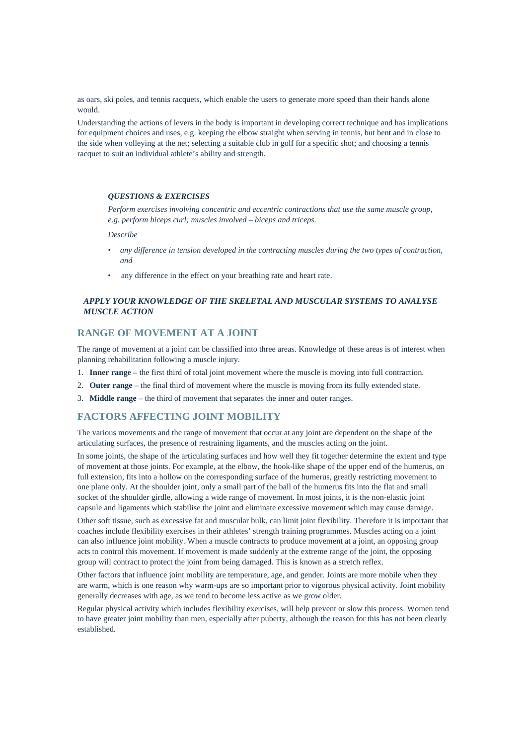as oars, ski poles, and tennis racquets, which enable the users to generate more speed than their hands alone would.

Understanding the actions of levers in the body is important in developing correct technique and has implications for equipment choices and uses, e.g. keeping the elbow straight when serving in tennis, but bent and in close to the side when volleying at the net; selecting a suitable club in golf for a specific shot; and choosing a tennis racquet to suit an individual athlete's ability and strength.

#### *QUESTIONS & EXERCISES*

*Perform exercises involving concentric and eccentric contractions that use the same muscle group, e.g. perform biceps curl; muscles involved – biceps and triceps.* 

*Describe* 

- *any difference in tension developed in the contracting muscles during the two types of contraction, and*
- any difference in the effect on your breathing rate and heart rate.

## *APPLY YOUR KNOWLEDGE OF THE SKELETAL AND MUSCULAR SYSTEMS TO ANALYSE MUSCLE ACTION*

## **RANGE OF MOVEMENT AT A JOINT**

The range of movement at a joint can be classified into three areas. Knowledge of these areas is of interest when planning rehabilitation following a muscle injury.

- 1. **Inner range** the first third of total joint movement where the muscle is moving into full contraction.
- 2. **Outer range** the final third of movement where the muscle is moving from its fully extended state.
- 3. **Middle range** the third of movement that separates the inner and outer ranges.

## **FACTORS AFFECTING JOINT MOBILITY**

The various movements and the range of movement that occur at any joint are dependent on the shape of the articulating surfaces, the presence of restraining ligaments, and the muscles acting on the joint.

In some joints, the shape of the articulating surfaces and how well they fit together determine the extent and type of movement at those joints. For example, at the elbow, the hook-like shape of the upper end of the humerus, on full extension, fits into a hollow on the corresponding surface of the humerus, greatly restricting movement to one plane only. At the shoulder joint, only a small part of the ball of the humerus fits into the flat and small socket of the shoulder girdle, allowing a wide range of movement. In most joints, it is the non-elastic joint capsule and ligaments which stabilise the joint and eliminate excessive movement which may cause damage.

Other soft tissue, such as excessive fat and muscular bulk, can limit joint flexibility. Therefore it is important that coaches include flexibility exercises in their athletes' strength training programmes. Muscles acting on a joint can also influence joint mobility. When a muscle contracts to produce movement at a joint, an opposing group acts to control this movement. If movement is made suddenly at the extreme range of the joint, the opposing group will contract to protect the joint from being damaged. This is known as a stretch reflex.

Other factors that influence joint mobility are temperature, age, and gender. Joints are more mobile when they are warm, which is one reason why warm-ups are so important prior to vigorous physical activity. Joint mobility generally decreases with age, as we tend to become less active as we grow older.

Regular physical activity which includes flexibility exercises, will help prevent or slow this process. Women tend to have greater joint mobility than men, especially after puberty, although the reason for this has not been clearly established.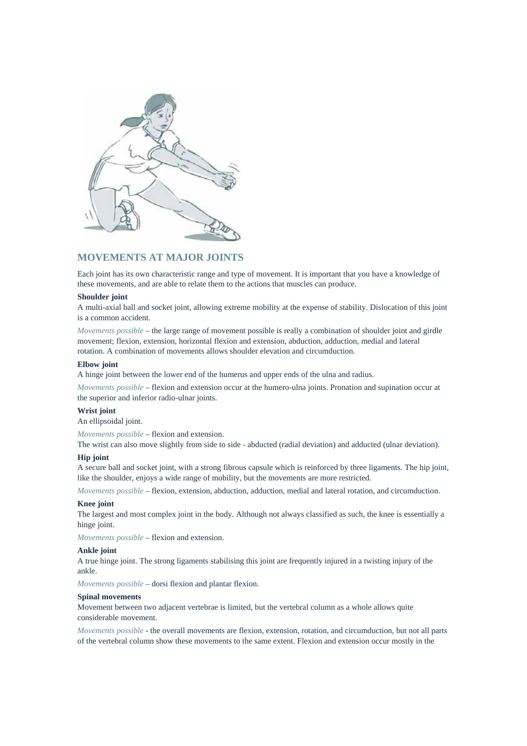

## **MOVEMENTS AT MAJOR JOINTS**

Each joint has its own characteristic range and type of movement. It is important that you have a knowledge of these movements, and are able to relate them to the actions that muscles can produce.

#### **Shoulder joint**

A multi-axial ball and socket joint, allowing extreme mobility at the expense of stability. Dislocation of this joint is a common accident.

*Movements possible* – the large range of movement possible is really a combination of shoulder joint and girdle movement; flexion, extension, horizontal flexion and extension, abduction, adduction, medial and lateral rotation. A combination of movements allows shoulder elevation and circumduction.

#### **Elbow joint**

A hinge joint between the lower end of the humerus and upper ends of the ulna and radius.

*Movements possible* – flexion and extension occur at the humero-ulna joints. Pronation and supination occur at the superior and inferior radio-ulnar joints.

## **Wrist joint**

An ellipsoidal joint.

*Movements possible* – flexion and extension.

The wrist can also move slightly from side to side - abducted (radial deviation) and adducted (ulnar deviation).

#### **Hip joint**

A secure ball and socket joint, with a strong fibrous capsule which is reinforced by three ligaments. The hip joint, like the shoulder, enjoys a wide range of mobility, but the movements are more restricted.

*Movements possible* – flexion, extension, abduction, adduction, medial and lateral rotation, and circumduction.

#### **Knee joint**

The largest and most complex joint in the body. Although not always classified as such, the knee is essentially a hinge joint.

*Movements possible* – flexion and extension.

## **Ankle joint**

A true hinge joint. The strong ligaments stabilising this joint are frequently injured in a twisting injury of the ankle.

*Movements possible* – dorsi flexion and plantar flexion.

#### **Spinal movements**

Movement between two adjacent vertebrae is limited, but the vertebral column as a whole allows quite considerable movement.

*Movements possible* - the overall movements are flexion, extension, rotation, and circumduction, but not all parts of the vertebral column show these movements to the same extent. Flexion and extension occur mostly in the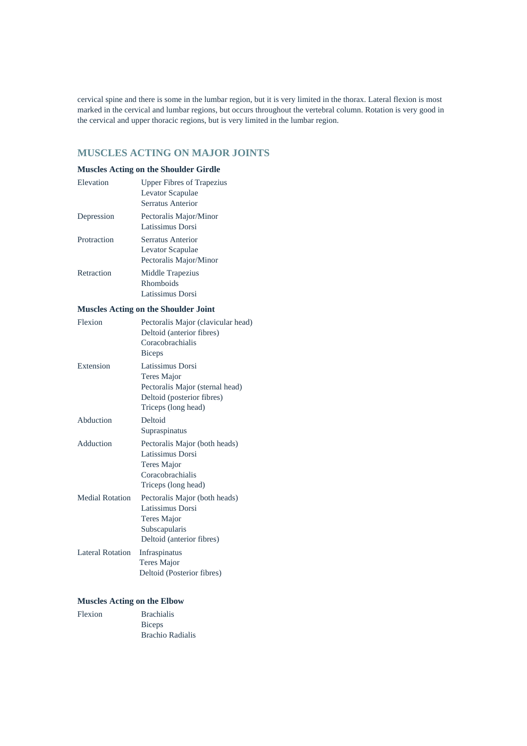cervical spine and there is some in the lumbar region, but it is very limited in the thorax. Lateral flexion is most marked in the cervical and lumbar regions, but occurs throughout the vertebral column. Rotation is very good in the cervical and upper thoracic regions, but is very limited in the lumbar region.

## **MUSCLES ACTING ON MAJOR JOINTS**

## **Muscles Acting on the Shoulder Girdle**

| Elevation   | <b>Upper Fibres of Trapezius</b> |
|-------------|----------------------------------|
|             | Levator Scapulae                 |
|             | Serratus Anterior                |
| Depression  | Pectoralis Major/Minor           |
|             | Latissimus Dorsi                 |
| Protraction | Serratus Anterior                |
|             | Levator Scapulae                 |
|             | Pectoralis Major/Minor           |
| Retraction  | Middle Trapezius                 |
|             | Rhomboids                        |
|             | Latissimus Dorsi                 |

## **Muscles Acting on the Shoulder Joint**

| Flexion                | Pectoralis Major (clavicular head) |
|------------------------|------------------------------------|
|                        | Deltoid (anterior fibres)          |
|                        | Coracobrachialis                   |
|                        | <b>Biceps</b>                      |
| Extension              | Latissimus Dorsi                   |
|                        | Teres Major                        |
|                        | Pectoralis Major (sternal head)    |
|                        | Deltoid (posterior fibres)         |
|                        | Triceps (long head)                |
| Abduction              | Deltoid                            |
|                        | Supraspinatus                      |
| Adduction              | Pectoralis Major (both heads)      |
|                        | Latissimus Dorsi                   |
|                        | Teres Major                        |
|                        | Coracobrachialis                   |
|                        | Triceps (long head)                |
| <b>Medial Rotation</b> | Pectoralis Major (both heads)      |
|                        | Latissimus Dorsi                   |
|                        | Teres Major                        |
|                        | Subscapularis                      |
|                        | Deltoid (anterior fibres)          |
| Lateral Rotation       | Infraspinatus                      |
|                        | <b>Teres Major</b>                 |
|                        | Deltoid (Posterior fibres)         |

## **Muscles Acting on the Elbow**

| Flexion | <b>Brachialis</b> |
|---------|-------------------|
|         | <b>Biceps</b>     |
|         | Brachio Radialis  |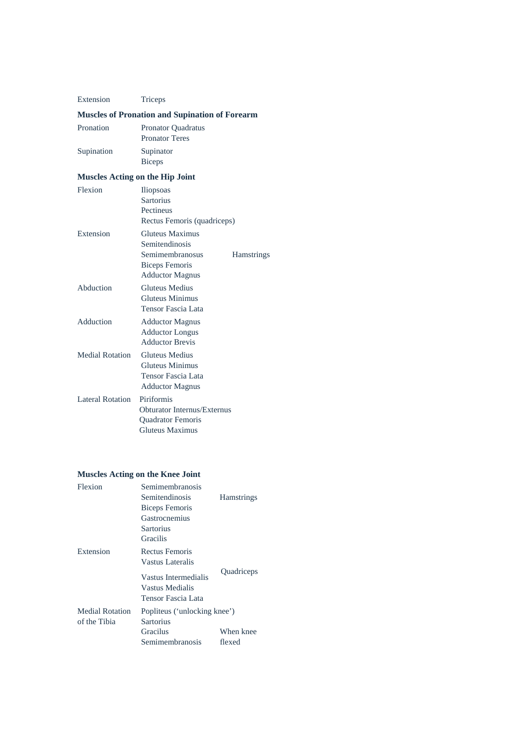| Extension                              | Triceps                                                                                                        |                   |
|----------------------------------------|----------------------------------------------------------------------------------------------------------------|-------------------|
|                                        | <b>Muscles of Pronation and Supination of Forearm</b>                                                          |                   |
| Pronation                              | Pronator Quadratus<br><b>Pronator Teres</b>                                                                    |                   |
| Supination                             | Supinator<br><b>Biceps</b>                                                                                     |                   |
| <b>Muscles Acting on the Hip Joint</b> |                                                                                                                |                   |
| Flexion                                | <b>Iliopsoas</b><br><b>Sartorius</b><br>Pectineus<br>Rectus Femoris (quadriceps)                               |                   |
| Extension                              | <b>Gluteus Maximus</b><br>Semitendinosis<br>Semimembranosus<br><b>Biceps Femoris</b><br><b>Adductor Magnus</b> | <b>Hamstrings</b> |
| Abduction                              | <b>Gluteus Medius</b><br><b>Gluteus Minimus</b><br>Tensor Fascia Lata                                          |                   |
| Adduction                              | <b>Adductor Magnus</b><br><b>Adductor Longus</b><br><b>Adductor Brevis</b>                                     |                   |
| <b>Medial Rotation</b>                 | <b>Gluteus Medius</b><br><b>Gluteus Minimus</b><br>Tensor Fascia Lata<br><b>Adductor Magnus</b>                |                   |
| <b>Lateral Rotation</b>                | Piriformis<br><b>Obturator Internus/Externus</b><br>Quadrator Femoris<br><b>Gluteus Maximus</b>                |                   |

## **Muscles Acting on the Knee Joint**

| Flexion                | Semimembranosis              |                   |
|------------------------|------------------------------|-------------------|
|                        | Semitendinosis               | <b>Hamstrings</b> |
|                        | Biceps Femoris               |                   |
|                        | Gastrocnemius                |                   |
|                        | Sartorius                    |                   |
|                        | <b>Gracilis</b>              |                   |
| Extension              | Rectus Femoris               |                   |
|                        | Vastus Lateralis             |                   |
|                        | Vastus Intermedialis         | Quadriceps        |
|                        | Vastus Medialis              |                   |
|                        | Tensor Fascia Lata           |                   |
| <b>Medial Rotation</b> | Popliteus ('unlocking knee') |                   |
| of the Tibia           | Sartorius                    |                   |
|                        | Gracilus                     | When knee         |
|                        | Semimembranosis              | flexed            |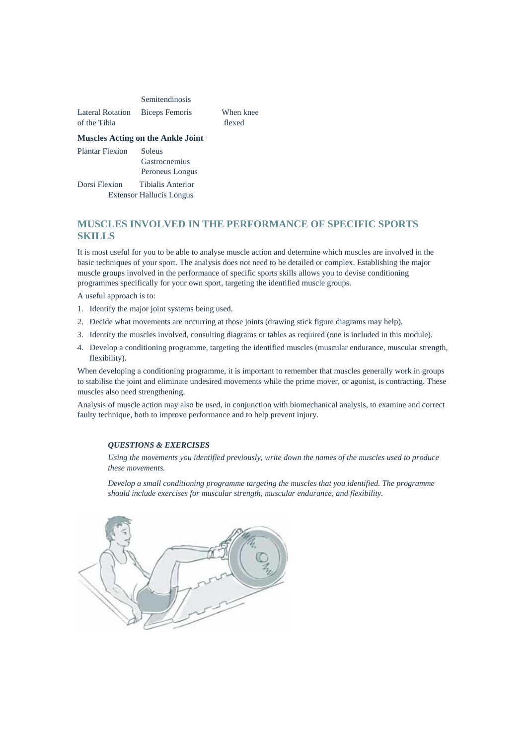|                  | Semitendinosis |           |
|------------------|----------------|-----------|
| Lateral Rotation | Biceps Femoris | When knee |
| of the Tibia     |                | flexed    |

#### **Muscles Acting on the Ankle Joint**

Plantar Flexion Soleus Gastrocnemius Peroneus Longus Dorsi Flexion Tibialis Anterior Extensor Hallucis Longus

## **MUSCLES INVOLVED IN THE PERFORMANCE OF SPECIFIC SPORTS SKILLS**

It is most useful for you to be able to analyse muscle action and determine which muscles are involved in the basic techniques of your sport. The analysis does not need to be detailed or complex. Establishing the major muscle groups involved in the performance of specific sports skills allows you to devise conditioning programmes specifically for your own sport, targeting the identified muscle groups.

A useful approach is to:

- 1. Identify the major joint systems being used.
- 2. Decide what movements are occurring at those joints (drawing stick figure diagrams may help).
- 3. Identify the muscles involved, consulting diagrams or tables as required (one is included in this module).
- 4. Develop a conditioning programme, targeting the identified muscles (muscular endurance, muscular strength, flexibility).

When developing a conditioning programme, it is important to remember that muscles generally work in groups to stabilise the joint and eliminate undesired movements while the prime mover, or agonist, is contracting. These muscles also need strengthening.

Analysis of muscle action may also be used, in conjunction with biomechanical analysis, to examine and correct faulty technique, both to improve performance and to help prevent injury.

#### *QUESTIONS & EXERCISES*

*Using the movements you identified previously, write down the names of the muscles used to produce these movements.* 

*Develop a small conditioning programme targeting the muscles that you identified. The programme should include exercises for muscular strength, muscular endurance, and flexibility.* 

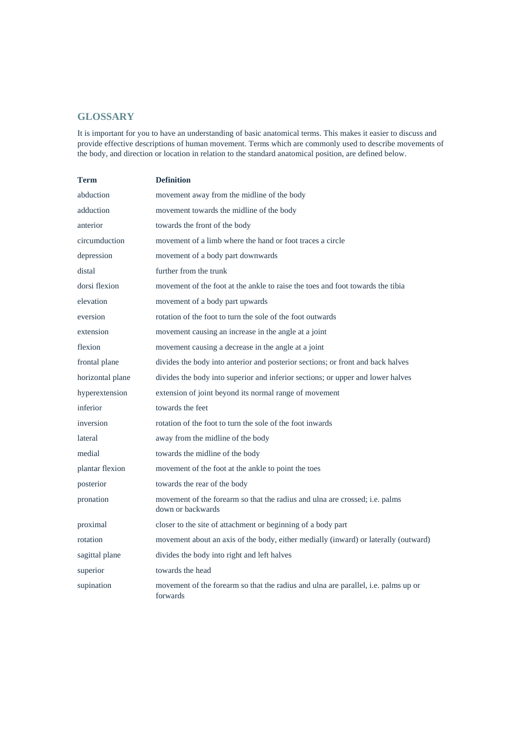## **GLOSSARY**

It is important for you to have an understanding of basic anatomical terms. This makes it easier to discuss and provide effective descriptions of human movement. Terms which are commonly used to describe movements of the body, and direction or location in relation to the standard anatomical position, are defined below.

| <b>Term</b>      | <b>Definition</b>                                                                                |
|------------------|--------------------------------------------------------------------------------------------------|
| abduction        | movement away from the midline of the body                                                       |
| adduction        | movement towards the midline of the body                                                         |
| anterior         | towards the front of the body                                                                    |
| circumduction    | movement of a limb where the hand or foot traces a circle                                        |
| depression       | movement of a body part downwards                                                                |
| distal           | further from the trunk                                                                           |
| dorsi flexion    | movement of the foot at the ankle to raise the toes and foot towards the tibia                   |
| elevation        | movement of a body part upwards                                                                  |
| eversion         | rotation of the foot to turn the sole of the foot outwards                                       |
| extension        | movement causing an increase in the angle at a joint                                             |
| flexion          | movement causing a decrease in the angle at a joint                                              |
| frontal plane    | divides the body into anterior and posterior sections; or front and back halves                  |
| horizontal plane | divides the body into superior and inferior sections; or upper and lower halves                  |
| hyperextension   | extension of joint beyond its normal range of movement                                           |
| inferior         | towards the feet                                                                                 |
| inversion        | rotation of the foot to turn the sole of the foot inwards                                        |
| lateral          | away from the midline of the body                                                                |
| medial           | towards the midline of the body                                                                  |
| plantar flexion  | movement of the foot at the ankle to point the toes                                              |
| posterior        | towards the rear of the body                                                                     |
| pronation        | movement of the forearm so that the radius and ulna are crossed; i.e. palms<br>down or backwards |
| proximal         | closer to the site of attachment or beginning of a body part                                     |
| rotation         | movement about an axis of the body, either medially (inward) or laterally (outward)              |
| sagittal plane   | divides the body into right and left halves                                                      |
| superior         | towards the head                                                                                 |
| supination       | movement of the forearm so that the radius and ulna are parallel, i.e. palms up or<br>forwards   |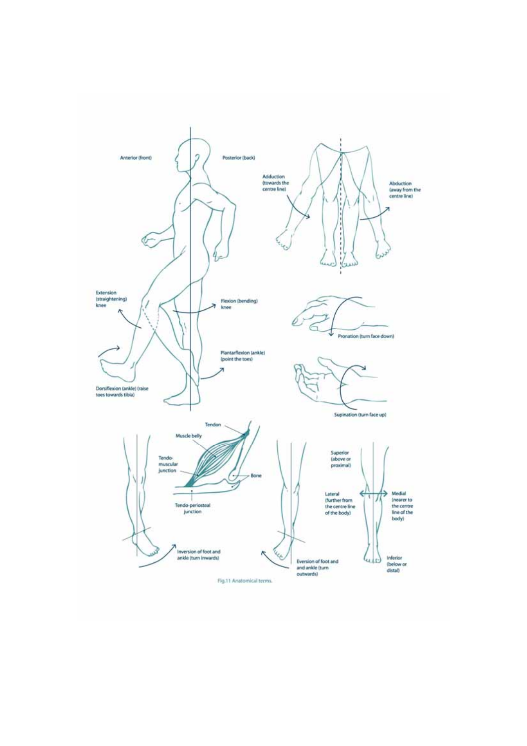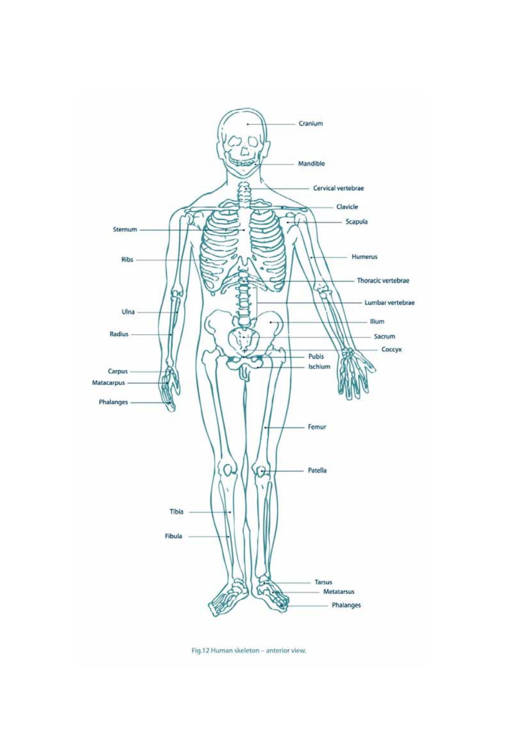

Fig.12 Human skeleton - anterior view.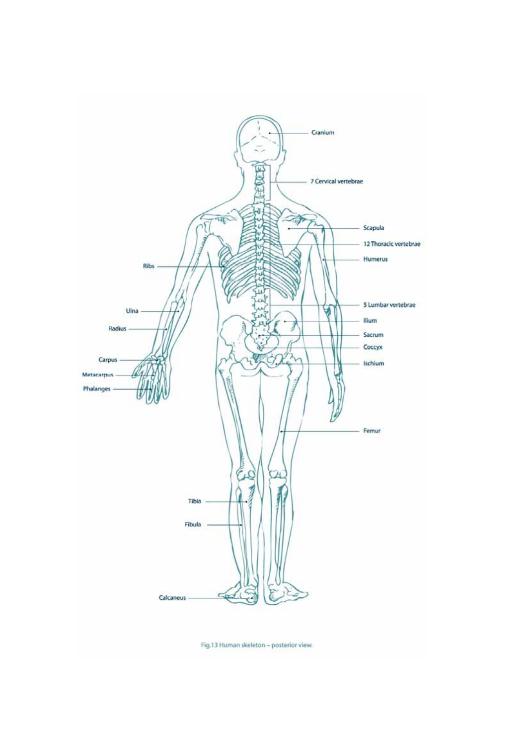

Fig.13 Human skeleton - posterior view.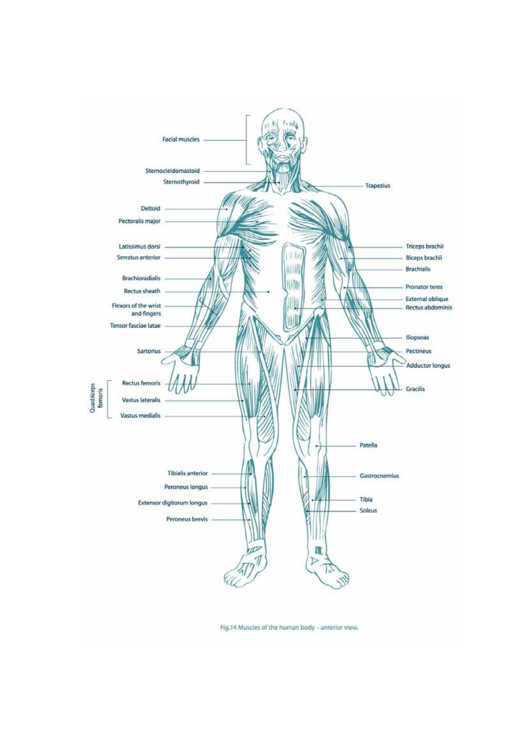

Fig.14 Muscles of the human body - anterior view.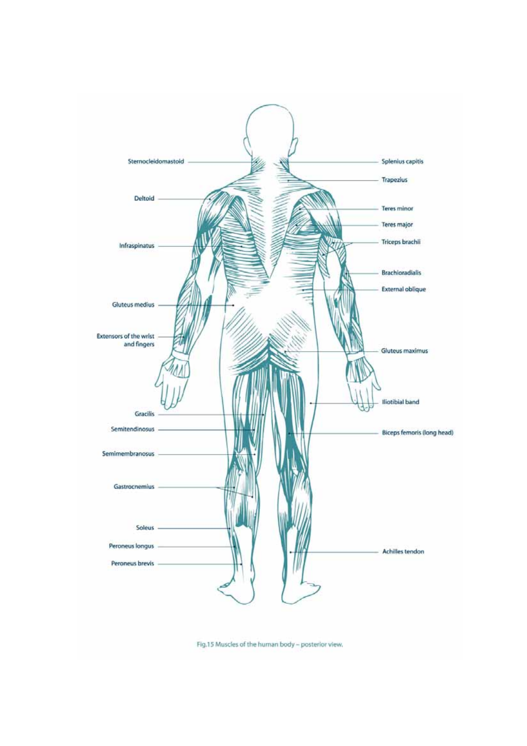

Fig.15 Muscles of the human body - posterior view.